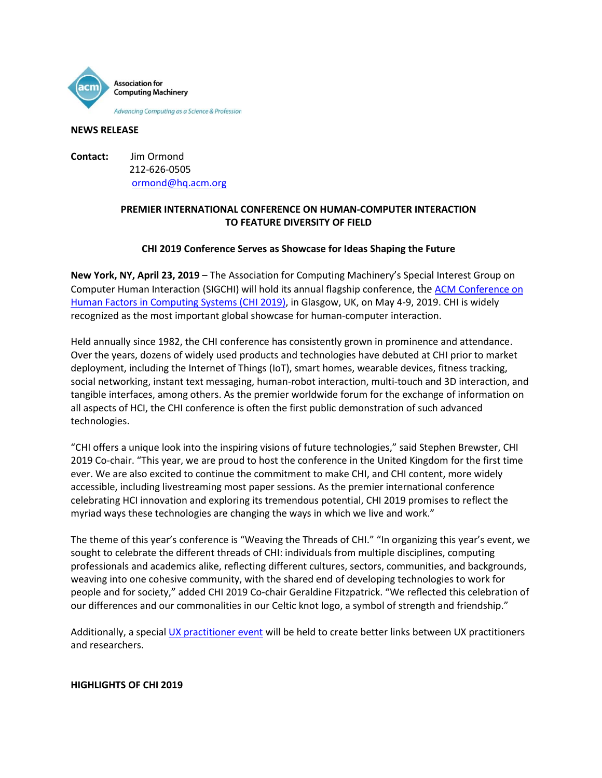

#### **NEWS RELEASE**

**Contact:** Jim Ormond 212-626-0505 [ormond@hq.acm.org](mailto:ormond@hq.acm.org)

# **PREMIER INTERNATIONAL CONFERENCE ON HUMAN-COMPUTER INTERACTION TO FEATURE DIVERSITY OF FIELD**

# **CHI 2019 Conference Serves as Showcase for Ideas Shaping the Future**

**New York, NY, April 23, 2019** – The Association for Computing Machinery's Special Interest Group on Computer Human Interaction (SIGCHI) will hold its annual flagship conference, the [ACM Conference on](https://chi2019.acm.org/)  [Human Factors in Computing Systems](https://chi2019.acm.org/) (CHI 2019), in Glasgow, UK, on May 4-9, 2019. CHI is widely recognized as the most important global showcase for human-computer interaction.

Held annually since 1982, the CHI conference has consistently grown in prominence and attendance. Over the years, dozens of widely used products and technologies have debuted at CHI prior to market deployment, including the Internet of Things (IoT), smart homes, wearable devices, fitness tracking, social networking, instant text messaging, human-robot interaction, multi-touch and 3D interaction, and tangible interfaces, among others. As the premier worldwide forum for the exchange of information on all aspects of HCI, the CHI conference is often the first public demonstration of such advanced technologies.

"CHI offers a unique look into the inspiring visions of future technologies," said Stephen Brewster, CHI 2019 Co-chair. "This year, we are proud to host the conference in the United Kingdom for the first time ever. We are also excited to continue the commitment to make CHI, and CHI content, more widely accessible, including livestreaming most paper sessions. As the premier international conference celebrating HCI innovation and exploring its tremendous potential, CHI 2019 promises to reflect the myriad ways these technologies are changing the ways in which we live and work."

The theme of this year's conference is "Weaving the Threads of CHI." "In organizing this year's event, we sought to celebrate the different threads of CHI: individuals from multiple disciplines, computing professionals and academics alike, reflecting different cultures, sectors, communities, and backgrounds, weaving into one cohesive community, with the shared end of developing technologies to work for people and for society," added CHI 2019 Co-chair Geraldine Fitzpatrick. "We reflected this celebration of our differences and our commonalities in our Celtic knot logo, a symbol of strength and friendship."

Additionally, a specia[l UX practitioner event](https://chi2019.acm.org/for-attendees/ux-event/) will be held to create better links between UX practitioners and researchers.

#### **HIGHLIGHTS OF CHI 2019**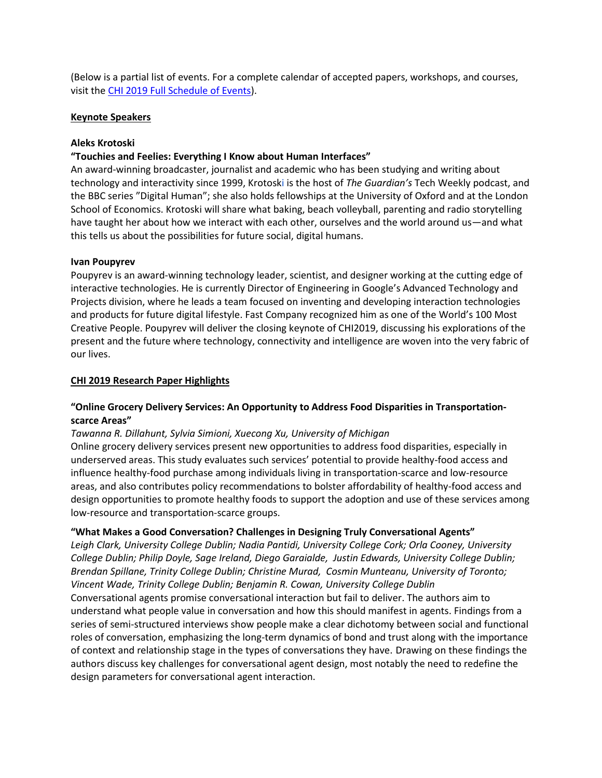(Below is a partial list of events. For a complete calendar of accepted papers, workshops, and courses, visit the CHI 2019 [Full Schedule of Events\)](https://chi2019.acm.org/for-attendees/full-schedule-of-events/).

### **Keynote Speakers**

### **Aleks Krotoski**

### **"Touchies and Feelies: Everything I Know about Human Interfaces"**

An award-winning broadcaster, journalist and academic who has been studying and writing about technology and interactivity since 1999, Krotoski is the host of *The Guardian's* Tech Weekly podcast, and the BBC series "Digital Human"; she also holds fellowships at the University of Oxford and at the London School of Economics. Krotoski will share what baking, beach volleyball, parenting and radio storytelling have taught her about how we interact with each other, ourselves and the world around us—and what this tells us about the possibilities for future social, digital humans.

### **Ivan Poupyrev**

Poupyrev is an award-winning technology leader, scientist, and designer working at the cutting edge of interactive technologies. He is currently Director of Engineering in Google's Advanced Technology and Projects division, where he leads a team focused on inventing and developing interaction technologies and products for future digital lifestyle. Fast Company recognized him as one of the World's 100 Most Creative People. Poupyrev will deliver the closing keynote of CHI2019, discussing his explorations of the present and the future where technology, connectivity and intelligence are woven into the very fabric of our lives.

### **CHI 2019 Research Paper Highlights**

# **"Online Grocery Delivery Services: An Opportunity to Address Food Disparities in Transportationscarce Areas"**

### *Tawanna R. Dillahunt, Sylvia Simioni, Xuecong Xu, University of Michigan*

Online grocery delivery services present new opportunities to address food disparities, especially in underserved areas. This study evaluates such services' potential to provide healthy-food access and influence healthy-food purchase among individuals living in transportation-scarce and low-resource areas, and also contributes policy recommendations to bolster affordability of healthy-food access and design opportunities to promote healthy foods to support the adoption and use of these services among low-resource and transportation-scarce groups.

### **"What Makes a Good Conversation? Challenges in Designing Truly Conversational Agents"**

*[Leigh Clark,](https://arxiv.org/search/cs?searchtype=author&query=Clark%2C+L) University College Dublin[; Nadia Pantidi,](https://arxiv.org/search/cs?searchtype=author&query=Pantidi%2C+N) University College Cork; [Orla Cooney,](https://arxiv.org/search/cs?searchtype=author&query=Cooney%2C+O) University College Dublin; [Philip Doyle,](https://arxiv.org/search/cs?searchtype=author&query=Doyle%2C+P) Sage Ireland, [Diego Garaialde,](https://arxiv.org/search/cs?searchtype=author&query=Garaialde%2C+D) [Justin Edwards,](https://arxiv.org/search/cs?searchtype=author&query=Edwards%2C+J) University College Dublin; [Brendan Spillane,](https://arxiv.org/search/cs?searchtype=author&query=Spillane%2C+B) Trinity College Dublin; [Christine Murad,](https://arxiv.org/search/cs?searchtype=author&query=Murad%2C+C) [Cosmin Munteanu,](https://arxiv.org/search/cs?searchtype=author&query=Munteanu%2C+C) University of Toronto; [Vincent Wade,](https://arxiv.org/search/cs?searchtype=author&query=Wade%2C+V) Trinity College Dublin; [Benjamin R. Cowan,](https://arxiv.org/search/cs?searchtype=author&query=Cowan%2C+B+R) University College Dublin* Conversational agents promise conversational interaction but fail to deliver. The authors aim to understand what people value in conversation and how this should manifest in agents. Findings from a series of semi-structured interviews show people make a clear dichotomy between social and functional roles of conversation, emphasizing the long-term dynamics of bond and trust along with the importance of context and relationship stage in the types of conversations they have. Drawing on these findings the authors discuss key challenges for conversational agent design, most notably the need to redefine the design parameters for conversational agent interaction.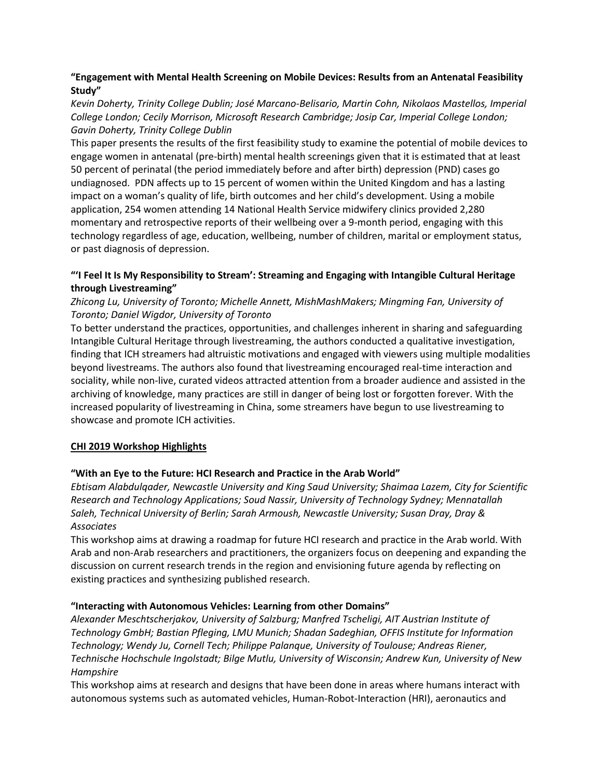# **"Engagement with Mental Health Screening on Mobile Devices: Results from an Antenatal Feasibility Study"**

*Kevin Doherty, Trinity College Dublin; José Marcano-Belisario, Martin Cohn, Nikolaos Mastellos, Imperial College London; Cecily Morrison, Microsoft Research Cambridge; Josip Car, Imperial College London; Gavin Doherty, Trinity College Dublin*

This paper presents the results of the first feasibility study to examine the potential of mobile devices to engage women in antenatal (pre-birth) mental health screenings given that it is estimated that at least 50 percent of perinatal (the period immediately before and after birth) depression (PND) cases go undiagnosed. PDN affects up to 15 percent of women within the United Kingdom and has a lasting impact on a woman's quality of life, birth outcomes and her child's development. Using a mobile application, 254 women attending 14 National Health Service midwifery clinics provided 2,280 momentary and retrospective reports of their wellbeing over a 9-month period, engaging with this technology regardless of age, education, wellbeing, number of children, marital or employment status, or past diagnosis of depression.

# **"'I Feel It Is My Responsibility to Stream': Streaming and Engaging with Intangible Cultural Heritage through Livestreaming"**

# *Zhicong Lu, University of Toronto; Michelle Annett, MishMashMakers; Mingming Fan, University of Toronto; Daniel Wigdor, University of Toronto*

To better understand the practices, opportunities, and challenges inherent in sharing and safeguarding Intangible Cultural Heritage through livestreaming, the authors conducted a qualitative investigation, finding that ICH streamers had altruistic motivations and engaged with viewers using multiple modalities beyond livestreams. The authors also found that livestreaming encouraged real-time interaction and sociality, while non-live, curated videos attracted attention from a broader audience and assisted in the archiving of knowledge, many practices are still in danger of being lost or forgotten forever. With the increased popularity of livestreaming in China, some streamers have begun to use livestreaming to showcase and promote ICH activities.

# **CHI 2019 Workshop Highlights**

# **"With an Eye to the Future: HCI Research and Practice in the Arab World"**

*Ebtisam Alabdulqader, Newcastle University and King Saud University; Shaimaa Lazem, City for Scientific Research and Technology Applications; Soud Nassir, University of Technology Sydney; Mennatallah Saleh, Technical University of Berlin; Sarah Armoush, Newcastle University; Susan Dray, Dray & Associates*

This workshop aims at drawing a roadmap for future HCI research and practice in the Arab world. With Arab and non-Arab researchers and practitioners, the organizers focus on deepening and expanding the discussion on current research trends in the region and envisioning future agenda by reflecting on existing practices and synthesizing published research.

# **"Interacting with Autonomous Vehicles: Learning from other Domains"**

*Alexander Meschtscherjakov, University of Salzburg; Manfred Tscheligi, AIT Austrian Institute of Technology GmbH; Bastian Pfleging, LMU Munich; Shadan Sadeghian, OFFIS Institute for Information Technology; Wendy Ju, Cornell Tech; Philippe Palanque, University of Toulouse; Andreas Riener, Technische Hochschule Ingolstadt; Bilge Mutlu, University of Wisconsin; Andrew Kun, University of New Hampshire*

This workshop aims at research and designs that have been done in areas where humans interact with autonomous systems such as automated vehicles, Human-Robot-Interaction (HRI), aeronautics and